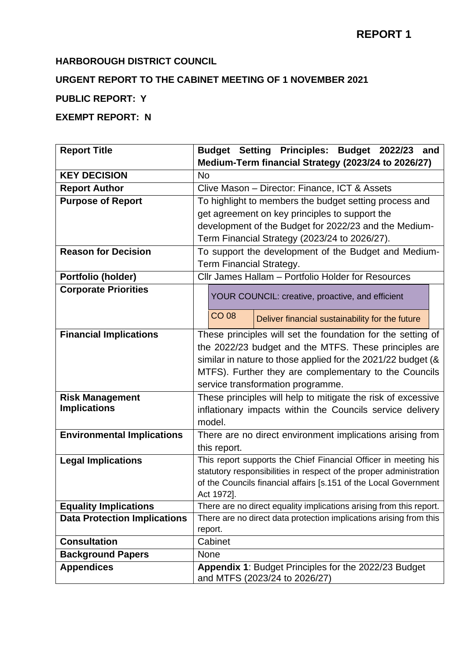## **HARBOROUGH DISTRICT COUNCIL**

# **URGENT REPORT TO THE CABINET MEETING OF 1 NOVEMBER 2021**

# **PUBLIC REPORT: Y**

# **EXEMPT REPORT: N**

| <b>Report Title</b>                 | Budget Setting Principles: Budget 2022/23 and                       |
|-------------------------------------|---------------------------------------------------------------------|
|                                     | Medium-Term financial Strategy (2023/24 to 2026/27)                 |
| <b>KEY DECISION</b>                 | <b>No</b>                                                           |
| <b>Report Author</b>                | Clive Mason - Director: Finance, ICT & Assets                       |
| <b>Purpose of Report</b>            | To highlight to members the budget setting process and              |
|                                     | get agreement on key principles to support the                      |
|                                     | development of the Budget for 2022/23 and the Medium-               |
|                                     | Term Financial Strategy (2023/24 to 2026/27).                       |
| <b>Reason for Decision</b>          | To support the development of the Budget and Medium-                |
|                                     | Term Financial Strategy.                                            |
| Portfolio (holder)                  | Cllr James Hallam - Portfolio Holder for Resources                  |
| <b>Corporate Priorities</b>         | YOUR COUNCIL: creative, proactive, and efficient                    |
|                                     |                                                                     |
|                                     | <b>CO 08</b><br>Deliver financial sustainability for the future     |
| <b>Financial Implications</b>       | These principles will set the foundation for the setting of         |
|                                     | the 2022/23 budget and the MTFS. These principles are               |
|                                     | similar in nature to those applied for the 2021/22 budget (&        |
|                                     | MTFS). Further they are complementary to the Councils               |
|                                     | service transformation programme.                                   |
| <b>Risk Management</b>              | These principles will help to mitigate the risk of excessive        |
| <b>Implications</b>                 | inflationary impacts within the Councils service delivery           |
|                                     | model.                                                              |
| <b>Environmental Implications</b>   | There are no direct environment implications arising from           |
|                                     | this report.                                                        |
| <b>Legal Implications</b>           | This report supports the Chief Financial Officer in meeting his     |
|                                     | statutory responsibilities in respect of the proper administration  |
|                                     | of the Councils financial affairs [s.151 of the Local Government    |
|                                     | Act 1972].                                                          |
| <b>Equality Implications</b>        | There are no direct equality implications arising from this report. |
| <b>Data Protection Implications</b> | There are no direct data protection implications arising from this  |
| <b>Consultation</b>                 | report.<br>Cabinet                                                  |
| <b>Background Papers</b>            | None                                                                |
| <b>Appendices</b>                   | <b>Appendix 1: Budget Principles for the 2022/23 Budget</b>         |
|                                     | and MTFS (2023/24 to 2026/27)                                       |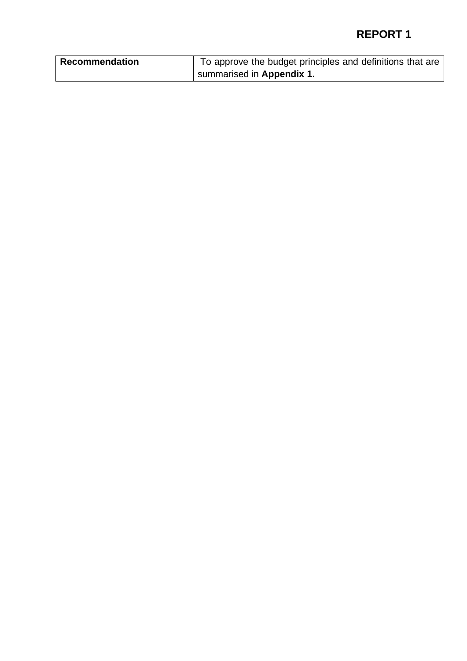# **REPORT 1**

| <b>Recommendation</b> | To approve the budget principles and definitions that are |
|-----------------------|-----------------------------------------------------------|
|                       | summarised in Appendix 1.                                 |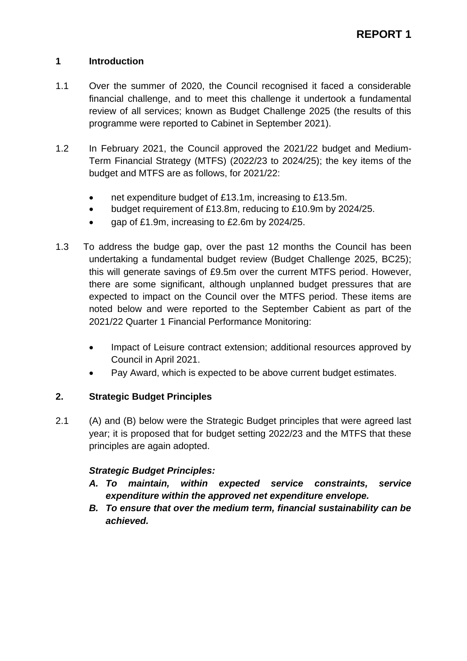#### **1 Introduction**

- 1.1 Over the summer of 2020, the Council recognised it faced a considerable financial challenge, and to meet this challenge it undertook a fundamental review of all services; known as Budget Challenge 2025 (the results of this programme were reported to Cabinet in September 2021).
- 1.2 In February 2021, the Council approved the 2021/22 budget and Medium-Term Financial Strategy (MTFS) (2022/23 to 2024/25); the key items of the budget and MTFS are as follows, for 2021/22:
	- net expenditure budget of £13.1m, increasing to £13.5m.
	- budget requirement of £13.8m, reducing to £10.9m by 2024/25.
	- gap of £1.9m, increasing to £2.6m by 2024/25.
- 1.3 To address the budge gap, over the past 12 months the Council has been undertaking a fundamental budget review (Budget Challenge 2025, BC25); this will generate savings of £9.5m over the current MTFS period. However, there are some significant, although unplanned budget pressures that are expected to impact on the Council over the MTFS period. These items are noted below and were reported to the September Cabient as part of the 2021/22 Quarter 1 Financial Performance Monitoring:
	- Impact of Leisure contract extension; additional resources approved by Council in April 2021.
	- Pay Award, which is expected to be above current budget estimates.

### **2. Strategic Budget Principles**

2.1 (A) and (B) below were the Strategic Budget principles that were agreed last year; it is proposed that for budget setting 2022/23 and the MTFS that these principles are again adopted.

### *Strategic Budget Principles:*

- *A. To maintain, within expected service constraints, service expenditure within the approved net expenditure envelope.*
- *B. To ensure that over the medium term, financial sustainability can be achieved.*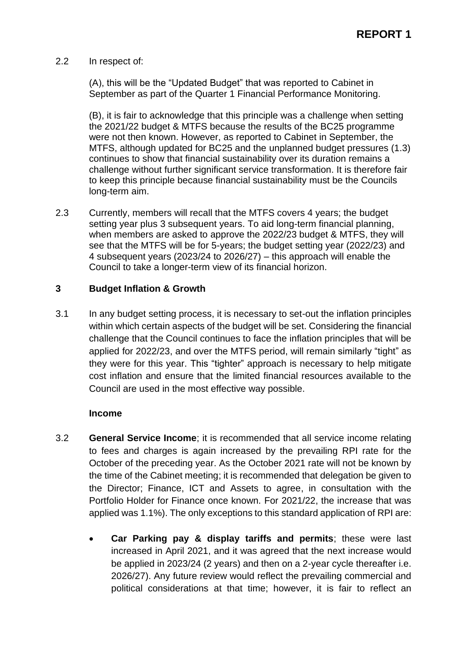#### 2.2 In respect of:

(A), this will be the "Updated Budget" that was reported to Cabinet in September as part of the Quarter 1 Financial Performance Monitoring.

(B), it is fair to acknowledge that this principle was a challenge when setting the 2021/22 budget & MTFS because the results of the BC25 programme were not then known. However, as reported to Cabinet in September, the MTFS, although updated for BC25 and the unplanned budget pressures (1.3) continues to show that financial sustainability over its duration remains a challenge without further significant service transformation. It is therefore fair to keep this principle because financial sustainability must be the Councils long-term aim.

2.3 Currently, members will recall that the MTFS covers 4 years; the budget setting year plus 3 subsequent years. To aid long-term financial planning, when members are asked to approve the 2022/23 budget & MTFS, they will see that the MTFS will be for 5-years; the budget setting year (2022/23) and 4 subsequent years (2023/24 to 2026/27) – this approach will enable the Council to take a longer-term view of its financial horizon.

#### **3 Budget Inflation & Growth**

3.1 In any budget setting process, it is necessary to set-out the inflation principles within which certain aspects of the budget will be set. Considering the financial challenge that the Council continues to face the inflation principles that will be applied for 2022/23, and over the MTFS period, will remain similarly "tight" as they were for this year. This "tighter" approach is necessary to help mitigate cost inflation and ensure that the limited financial resources available to the Council are used in the most effective way possible.

#### **Income**

- 3.2 **General Service Income**; it is recommended that all service income relating to fees and charges is again increased by the prevailing RPI rate for the October of the preceding year. As the October 2021 rate will not be known by the time of the Cabinet meeting; it is recommended that delegation be given to the Director; Finance, ICT and Assets to agree, in consultation with the Portfolio Holder for Finance once known. For 2021/22, the increase that was applied was 1.1%). The only exceptions to this standard application of RPI are:
	- **Car Parking pay & display tariffs and permits**; these were last increased in April 2021, and it was agreed that the next increase would be applied in 2023/24 (2 years) and then on a 2-year cycle thereafter i.e. 2026/27). Any future review would reflect the prevailing commercial and political considerations at that time; however, it is fair to reflect an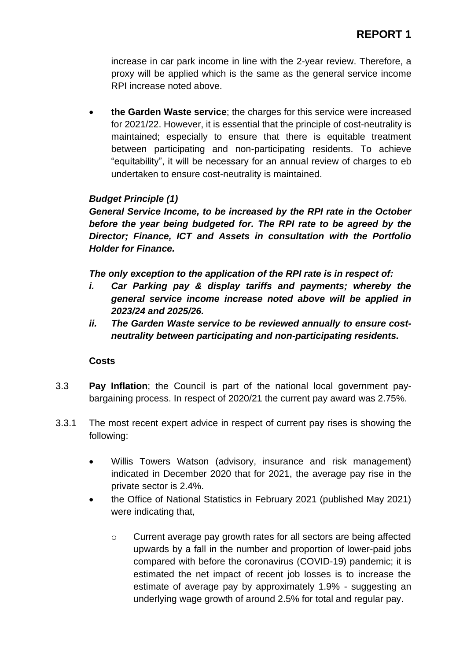increase in car park income in line with the 2-year review. Therefore, a proxy will be applied which is the same as the general service income RPI increase noted above.

• **the Garden Waste service**; the charges for this service were increased for 2021/22. However, it is essential that the principle of cost-neutrality is maintained; especially to ensure that there is equitable treatment between participating and non-participating residents. To achieve "equitability", it will be necessary for an annual review of charges to eb undertaken to ensure cost-neutrality is maintained.

## *Budget Principle (1)*

*General Service Income, to be increased by the RPI rate in the October before the year being budgeted for. The RPI rate to be agreed by the Director; Finance, ICT and Assets in consultation with the Portfolio Holder for Finance.*

*The only exception to the application of the RPI rate is in respect of:*

- *i. Car Parking pay & display tariffs and payments; whereby the general service income increase noted above will be applied in 2023/24 and 2025/26.*
- *ii. The Garden Waste service to be reviewed annually to ensure costneutrality between participating and non-participating residents.*

### **Costs**

- 3.3 **Pay Inflation**; the Council is part of the national local government paybargaining process. In respect of 2020/21 the current pay award was 2.75%.
- 3.3.1 The most recent expert advice in respect of current pay rises is showing the following:
	- Willis Towers Watson (advisory, insurance and risk management) indicated in December 2020 that for 2021, the average pay rise in the private sector is 2.4%.
	- the Office of National Statistics in February 2021 (published May 2021) were indicating that,
		- o Current average pay growth rates for all sectors are being affected upwards by a fall in the number and proportion of lower-paid jobs compared with before the coronavirus (COVID-19) pandemic; it is estimated the net impact of recent job losses is to increase the estimate of average pay by approximately 1.9% - suggesting an underlying wage growth of around 2.5% for total and regular pay.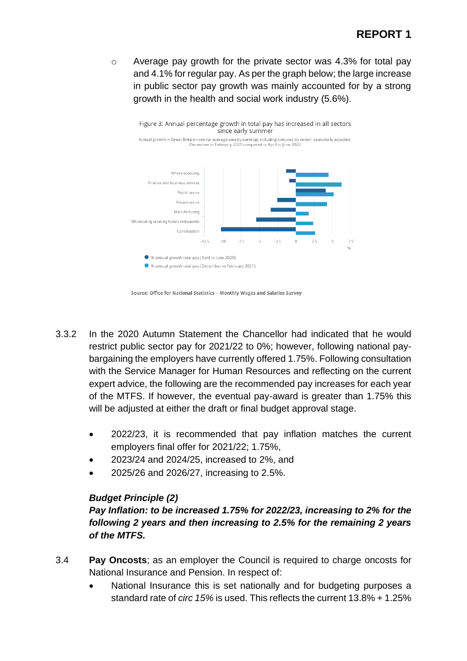# **REPORT 1**

o Average pay growth for the private sector was 4.3% for total pay and 4.1% for regular pay. As per the graph below; the large increase in public sector pay growth was mainly accounted for by a strong growth in the health and social work industry (5.6%).



Source: Office for National Statistics - Monthly Wages and Salaries Survey

- 3.3.2 In the 2020 Autumn Statement the Chancellor had indicated that he would restrict public sector pay for 2021/22 to 0%; however, following national paybargaining the employers have currently offered 1.75%. Following consultation with the Service Manager for Human Resources and reflecting on the current expert advice, the following are the recommended pay increases for each year of the MTFS. If however, the eventual pay-award is greater than 1.75% this will be adjusted at either the draft or final budget approval stage.
	- 2022/23, it is recommended that pay inflation matches the current employers final offer for 2021/22; 1.75%,
	- 2023/24 and 2024/25, increased to 2%, and
	- 2025/26 and 2026/27, increasing to 2.5%.

### *Budget Principle (2)*

# *Pay Inflation: to be increased 1.75% for 2022/23, increasing to 2% for the following 2 years and then increasing to 2.5% for the remaining 2 years of the MTFS.*

- 3.4 **Pay Oncosts**; as an employer the Council is required to charge oncosts for National Insurance and Pension. In respect of:
	- National Insurance this is set nationally and for budgeting purposes a standard rate of *circ 15%* is used. This reflects the current 13.8% + 1.25%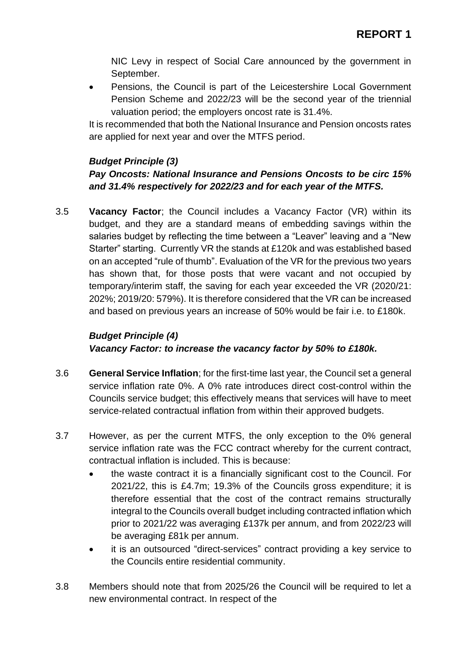NIC Levy in respect of Social Care announced by the government in September.

• Pensions, the Council is part of the Leicestershire Local Government Pension Scheme and 2022/23 will be the second year of the triennial valuation period; the employers oncost rate is 31.4%.

It is recommended that both the National Insurance and Pension oncosts rates are applied for next year and over the MTFS period.

## *Budget Principle (3)*

## *Pay Oncosts: National Insurance and Pensions Oncosts to be circ 15% and 31.4% respectively for 2022/23 and for each year of the MTFS.*

3.5 **Vacancy Factor**; the Council includes a Vacancy Factor (VR) within its budget, and they are a standard means of embedding savings within the salaries budget by reflecting the time between a "Leaver" leaving and a "New Starter" starting. Currently VR the stands at £120k and was established based on an accepted "rule of thumb". Evaluation of the VR for the previous two years has shown that, for those posts that were vacant and not occupied by temporary/interim staff, the saving for each year exceeded the VR (2020/21: 202%; 2019/20: 579%). It is therefore considered that the VR can be increased and based on previous years an increase of 50% would be fair i.e. to £180k.

# *Budget Principle (4) Vacancy Factor: to increase the vacancy factor by 50% to £180k.*

- 3.6 **General Service Inflation**; for the first-time last year, the Council set a general service inflation rate 0%. A 0% rate introduces direct cost-control within the Councils service budget; this effectively means that services will have to meet service-related contractual inflation from within their approved budgets.
- 3.7 However, as per the current MTFS, the only exception to the 0% general service inflation rate was the FCC contract whereby for the current contract, contractual inflation is included. This is because:
	- the waste contract it is a financially significant cost to the Council. For 2021/22, this is £4.7m; 19.3% of the Councils gross expenditure; it is therefore essential that the cost of the contract remains structurally integral to the Councils overall budget including contracted inflation which prior to 2021/22 was averaging £137k per annum, and from 2022/23 will be averaging £81k per annum.
	- it is an outsourced "direct-services" contract providing a key service to the Councils entire residential community.
- 3.8 Members should note that from 2025/26 the Council will be required to let a new environmental contract. In respect of the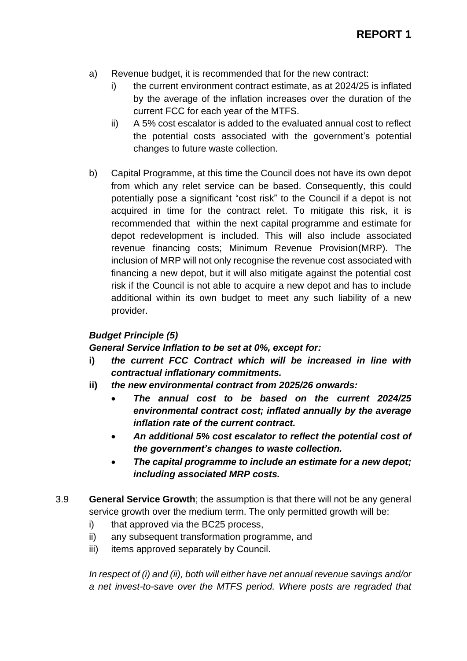- a) Revenue budget, it is recommended that for the new contract:
	- i) the current environment contract estimate, as at 2024/25 is inflated by the average of the inflation increases over the duration of the current FCC for each year of the MTFS.
	- ii) A 5% cost escalator is added to the evaluated annual cost to reflect the potential costs associated with the government's potential changes to future waste collection.
- b) Capital Programme, at this time the Council does not have its own depot from which any relet service can be based. Consequently, this could potentially pose a significant "cost risk" to the Council if a depot is not acquired in time for the contract relet. To mitigate this risk, it is recommended that within the next capital programme and estimate for depot redevelopment is included. This will also include associated revenue financing costs; Minimum Revenue Provision(MRP). The inclusion of MRP will not only recognise the revenue cost associated with financing a new depot, but it will also mitigate against the potential cost risk if the Council is not able to acquire a new depot and has to include additional within its own budget to meet any such liability of a new provider.

### *Budget Principle (5)*

### *General Service Inflation to be set at 0%, except for:*

- **i)** *the current FCC Contract which will be increased in line with contractual inflationary commitments.*
- **ii)** *the new environmental contract from 2025/26 onwards:*
	- *The annual cost to be based on the current 2024/25 environmental contract cost; inflated annually by the average inflation rate of the current contract.*
	- *An additional 5% cost escalator to reflect the potential cost of the government's changes to waste collection.*
	- *The capital programme to include an estimate for a new depot; including associated MRP costs.*
- 3.9 **General Service Growth**; the assumption is that there will not be any general service growth over the medium term. The only permitted growth will be:
	- i) that approved via the BC25 process,
	- ii) any subsequent transformation programme, and
	- iii) items approved separately by Council.

*In respect of (i) and (ii), both will either have net annual revenue savings and/or a net invest-to-save over the MTFS period. Where posts are regraded that*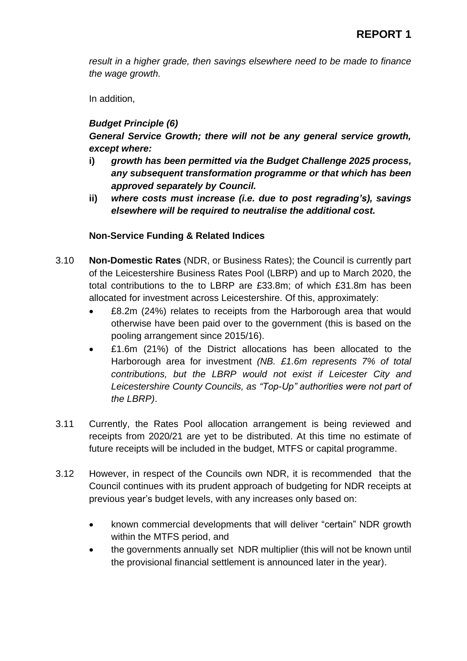*result in a higher grade, then savings elsewhere need to be made to finance the wage growth.*

In addition,

## *Budget Principle (6)*

*General Service Growth; there will not be any general service growth, except where:*

- **i)** *growth has been permitted via the Budget Challenge 2025 process, any subsequent transformation programme or that which has been approved separately by Council.*
- **ii)** *where costs must increase (i.e. due to post regrading's), savings elsewhere will be required to neutralise the additional cost.*

## **Non-Service Funding & Related Indices**

- 3.10 **Non-Domestic Rates** (NDR, or Business Rates); the Council is currently part of the Leicestershire Business Rates Pool (LBRP) and up to March 2020, the total contributions to the to LBRP are £33.8m; of which £31.8m has been allocated for investment across Leicestershire. Of this, approximately:
	- £8.2m (24%) relates to receipts from the Harborough area that would otherwise have been paid over to the government (this is based on the pooling arrangement since 2015/16).
	- £1.6m (21%) of the District allocations has been allocated to the Harborough area for investment *(NB. £1.6m represents 7% of total contributions, but the LBRP would not exist if Leicester City and Leicestershire County Councils, as "Top-Up" authorities were not part of the LBRP)*.
- 3.11 Currently, the Rates Pool allocation arrangement is being reviewed and receipts from 2020/21 are yet to be distributed. At this time no estimate of future receipts will be included in the budget, MTFS or capital programme.
- 3.12 However, in respect of the Councils own NDR, it is recommended that the Council continues with its prudent approach of budgeting for NDR receipts at previous year's budget levels, with any increases only based on:
	- known commercial developments that will deliver "certain" NDR growth within the MTFS period, and
	- the governments annually set NDR multiplier (this will not be known until the provisional financial settlement is announced later in the year).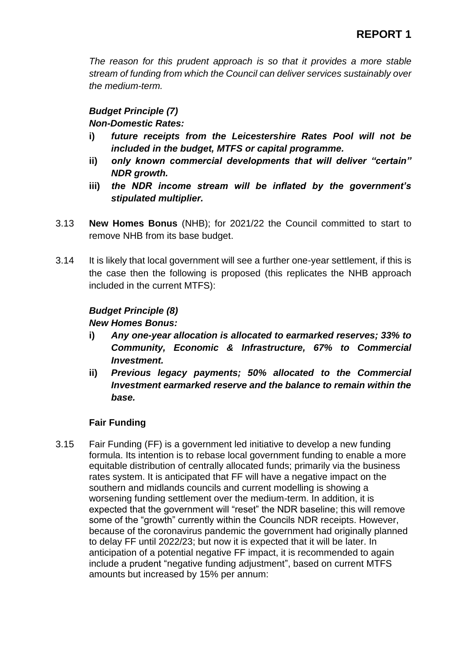*The reason for this prudent approach is so that it provides a more stable stream of funding from which the Council can deliver services sustainably over the medium-term.*

#### *Budget Principle (7) Non-Domestic Rates:*

- **i)** *future receipts from the Leicestershire Rates Pool will not be included in the budget, MTFS or capital programme.*
- **ii)** *only known commercial developments that will deliver "certain" NDR growth.*
- **iii)** *the NDR income stream will be inflated by the government's stipulated multiplier.*
- 3.13 **New Homes Bonus** (NHB); for 2021/22 the Council committed to start to remove NHB from its base budget.
- 3.14 It is likely that local government will see a further one-year settlement, if this is the case then the following is proposed (this replicates the NHB approach included in the current MTFS):

# *Budget Principle (8)*

## *New Homes Bonus:*

- **i)** *Any one-year allocation is allocated to earmarked reserves; 33% to Community, Economic & Infrastructure, 67% to Commercial Investment.*
- **ii)** *Previous legacy payments; 50% allocated to the Commercial Investment earmarked reserve and the balance to remain within the base.*

# **Fair Funding**

3.15 Fair Funding (FF) is a government led initiative to develop a new funding formula. Its intention is to rebase local government funding to enable a more equitable distribution of centrally allocated funds; primarily via the business rates system. It is anticipated that FF will have a negative impact on the southern and midlands councils and current modelling is showing a worsening funding settlement over the medium-term. In addition, it is expected that the government will "reset" the NDR baseline; this will remove some of the "growth" currently within the Councils NDR receipts. However, because of the coronavirus pandemic the government had originally planned to delay FF until 2022/23; but now it is expected that it will be later. In anticipation of a potential negative FF impact, it is recommended to again include a prudent "negative funding adjustment", based on current MTFS amounts but increased by 15% per annum: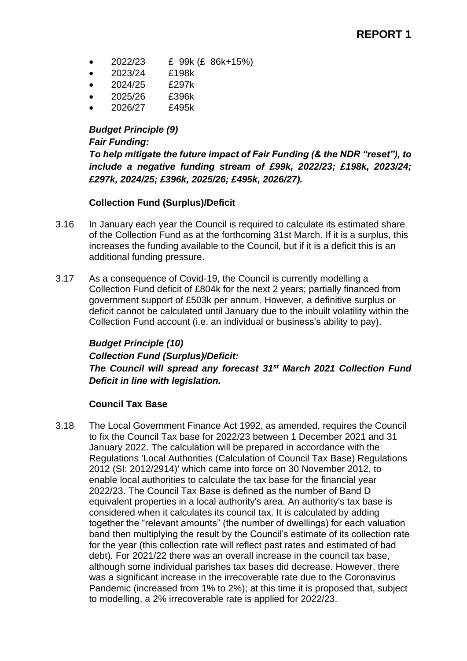- 2022/23 £ 99k (£ 86k+15%)
- 2023/24 £198k
- 2024/25 £297k
- 2025/26 £396k
- 2026/27 £495k

### *Budget Principle (9)*

#### *Fair Funding:*

*To help mitigate the future impact of Fair Funding (& the NDR "reset"), to include a negative funding stream of £99k, 2022/23; £198k, 2023/24; £297k, 2024/25; £396k, 2025/26; £495k, 2026/27).*

### **Collection Fund (Surplus)/Deficit**

- 3.16 In January each year the Council is required to calculate its estimated share of the Collection Fund as at the forthcoming 31st March. If it is a surplus, this increases the funding available to the Council, but if it is a deficit this is an additional funding pressure.
- 3.17 As a consequence of Covid-19, the Council is currently modelling a Collection Fund deficit of £804k for the next 2 years; partially financed from government support of £503k per annum. However, a definitive surplus or deficit cannot be calculated until January due to the inbuilt volatility within the Collection Fund account (i.e. an individual or business's ability to pay).

# *Budget Principle (10)*

*Collection Fund (Surplus)/Deficit: The Council will spread any forecast 31st March 2021 Collection Fund Deficit in line with legislation.* 

### **Council Tax Base**

3.18 The Local Government Finance Act 1992, as amended, requires the Council to fix the Council Tax base for 2022/23 between 1 December 2021 and 31 January 2022. The calculation will be prepared in accordance with the Regulations 'Local Authorities (Calculation of Council Tax Base) Regulations 2012 (SI: 2012/2914)' which came into force on 30 November 2012, to enable local authorities to calculate the tax base for the financial year 2022/23. The Council Tax Base is defined as the number of Band D equivalent properties in a local authority's area. An authority's tax base is considered when it calculates its council tax. It is calculated by adding together the "relevant amounts" (the number of dwellings) for each valuation band then multiplying the result by the Council's estimate of its collection rate for the year (this collection rate will reflect past rates and estimated of bad debt). For 2021/22 there was an overall increase in the council tax base, although some individual parishes tax bases did decrease. However, there was a significant increase in the irrecoverable rate due to the Coronavirus Pandemic (increased from 1% to 2%); at this time it is proposed that, subject to modelling, a 2% irrecoverable rate is applied for 2022/23.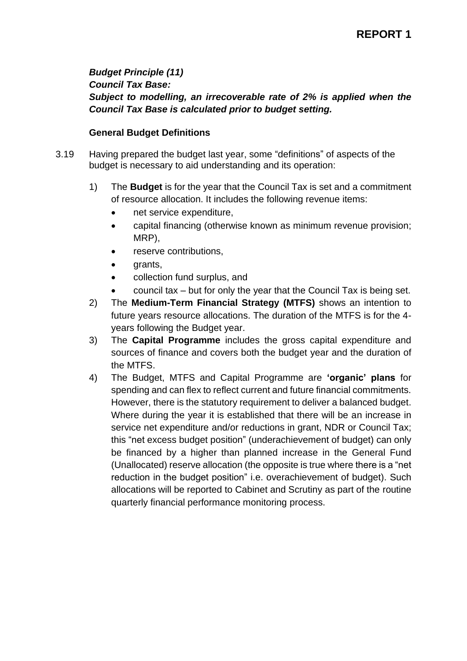*Budget Principle (11) Council Tax Base: Subject to modelling, an irrecoverable rate of 2% is applied when the Council Tax Base is calculated prior to budget setting.*

#### **General Budget Definitions**

- 3.19 Having prepared the budget last year, some "definitions" of aspects of the budget is necessary to aid understanding and its operation:
	- 1) The **Budget** is for the year that the Council Tax is set and a commitment of resource allocation. It includes the following revenue items:
		- net service expenditure,
		- capital financing (otherwise known as minimum revenue provision; MRP),
		- reserve contributions,
		- grants,
		- collection fund surplus, and
		- council tax but for only the year that the Council Tax is being set.
	- 2) The **Medium-Term Financial Strategy (MTFS)** shows an intention to future years resource allocations. The duration of the MTFS is for the 4 years following the Budget year.
	- 3) The **Capital Programme** includes the gross capital expenditure and sources of finance and covers both the budget year and the duration of the MTFS.
	- 4) The Budget, MTFS and Capital Programme are **'organic' plans** for spending and can flex to reflect current and future financial commitments. However, there is the statutory requirement to deliver a balanced budget. Where during the year it is established that there will be an increase in service net expenditure and/or reductions in grant, NDR or Council Tax; this "net excess budget position" (underachievement of budget) can only be financed by a higher than planned increase in the General Fund (Unallocated) reserve allocation (the opposite is true where there is a "net reduction in the budget position" i.e. overachievement of budget). Such allocations will be reported to Cabinet and Scrutiny as part of the routine quarterly financial performance monitoring process.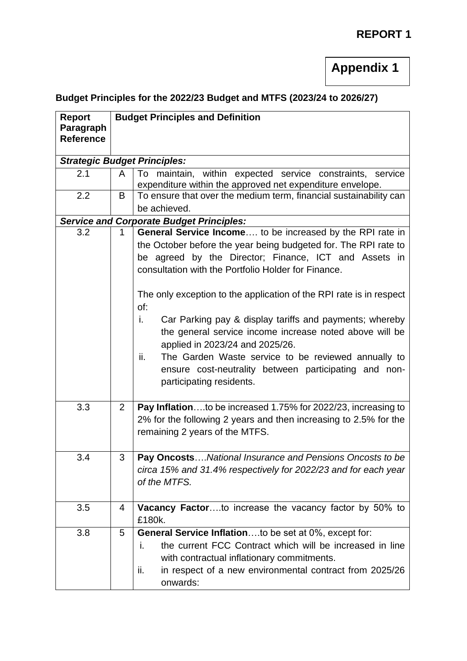**Appendix 1**

# **Budget Principles for the 2022/23 Budget and MTFS (2023/24 to 2026/27)**

| Report                                          | <b>Budget Principles and Definition</b>                               |                                                                                   |  |  |
|-------------------------------------------------|-----------------------------------------------------------------------|-----------------------------------------------------------------------------------|--|--|
| Paragraph                                       |                                                                       |                                                                                   |  |  |
| <b>Reference</b>                                |                                                                       |                                                                                   |  |  |
|                                                 |                                                                       | <b>Strategic Budget Principles:</b>                                               |  |  |
| 2.1                                             | $\mathsf{A}$                                                          | To maintain, within expected service constraints, service                         |  |  |
|                                                 |                                                                       | expenditure within the approved net expenditure envelope.                         |  |  |
| 2.2                                             | B                                                                     | To ensure that over the medium term, financial sustainability can<br>be achieved. |  |  |
| <b>Service and Corporate Budget Principles:</b> |                                                                       |                                                                                   |  |  |
| 3.2                                             | <b>General Service Income</b> to be increased by the RPI rate in<br>1 |                                                                                   |  |  |
|                                                 |                                                                       | the October before the year being budgeted for. The RPI rate to                   |  |  |
|                                                 |                                                                       | be agreed by the Director; Finance, ICT and Assets in                             |  |  |
|                                                 |                                                                       |                                                                                   |  |  |
|                                                 |                                                                       | consultation with the Portfolio Holder for Finance.                               |  |  |
|                                                 |                                                                       |                                                                                   |  |  |
|                                                 |                                                                       | The only exception to the application of the RPI rate is in respect               |  |  |
|                                                 |                                                                       | of:                                                                               |  |  |
|                                                 |                                                                       | Car Parking pay & display tariffs and payments; whereby<br>i.                     |  |  |
|                                                 |                                                                       | the general service income increase noted above will be                           |  |  |
|                                                 |                                                                       | applied in 2023/24 and 2025/26.                                                   |  |  |
|                                                 |                                                                       | The Garden Waste service to be reviewed annually to<br>ii.                        |  |  |
|                                                 |                                                                       | ensure cost-neutrality between participating and non-                             |  |  |
|                                                 |                                                                       | participating residents.                                                          |  |  |
|                                                 |                                                                       |                                                                                   |  |  |
| 3.3                                             | 2                                                                     | Pay Inflationto be increased 1.75% for 2022/23, increasing to                     |  |  |
|                                                 |                                                                       | 2% for the following 2 years and then increasing to 2.5% for the                  |  |  |
|                                                 |                                                                       | remaining 2 years of the MTFS.                                                    |  |  |
|                                                 |                                                                       |                                                                                   |  |  |
| 3.4                                             | 3                                                                     | <b>Pay Oncosts National Insurance and Pensions Oncosts to be</b>                  |  |  |
|                                                 |                                                                       | circa 15% and 31.4% respectively for 2022/23 and for each year                    |  |  |
|                                                 |                                                                       | of the MTFS.                                                                      |  |  |
|                                                 |                                                                       |                                                                                   |  |  |
| 3.5                                             | 4                                                                     | Vacancy Factorto increase the vacancy factor by 50% to                            |  |  |
|                                                 |                                                                       | £180k.                                                                            |  |  |
| 3.8                                             | 5                                                                     | <b>General Service Inflationto be set at 0%, except for:</b>                      |  |  |
|                                                 |                                                                       | the current FCC Contract which will be increased in line<br>i.                    |  |  |
|                                                 |                                                                       | with contractual inflationary commitments.                                        |  |  |
|                                                 |                                                                       | in respect of a new environmental contract from 2025/26<br>ii.                    |  |  |
|                                                 |                                                                       | onwards:                                                                          |  |  |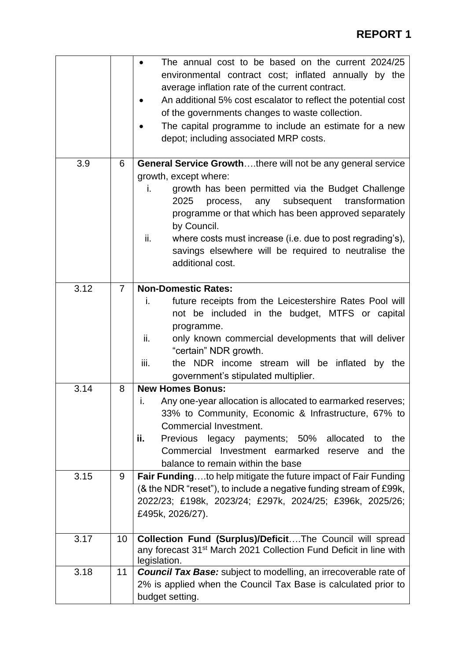|              |                | The annual cost to be based on the current 2024/25<br>environmental contract cost; inflated annually by the<br>average inflation rate of the current contract.<br>An additional 5% cost escalator to reflect the potential cost<br>of the governments changes to waste collection.<br>The capital programme to include an estimate for a new<br>depot; including associated MRP costs.                                                                                             |
|--------------|----------------|------------------------------------------------------------------------------------------------------------------------------------------------------------------------------------------------------------------------------------------------------------------------------------------------------------------------------------------------------------------------------------------------------------------------------------------------------------------------------------|
| 3.9          | 6              | General Service Growththere will not be any general service<br>growth, except where:<br>growth has been permitted via the Budget Challenge<br>i.<br>2025<br>subsequent<br>transformation<br>process,<br>any<br>programme or that which has been approved separately<br>by Council.<br>ii.<br>where costs must increase (i.e. due to post regrading's),<br>savings elsewhere will be required to neutralise the<br>additional cost.                                                 |
| 3.12         | $\overline{7}$ | <b>Non-Domestic Rates:</b><br>future receipts from the Leicestershire Rates Pool will<br>i.<br>not be included in the budget, MTFS or capital<br>programme.<br>ii.<br>only known commercial developments that will deliver<br>"certain" NDR growth.<br>iii.<br>the NDR income stream will be inflated by the<br>government's stipulated multiplier.                                                                                                                                |
| 3.14<br>3.15 | 8<br>9         | <b>New Homes Bonus:</b><br>Any one-year allocation is allocated to earmarked reserves;<br>i.<br>33% to Community, Economic & Infrastructure, 67% to<br>Commercial Investment.<br>Previous legacy payments; 50%<br>allocated<br>the<br>ii.<br>to<br>Commercial Investment earmarked reserve and<br>the<br>balance to remain within the base<br>Fair Fundingto help mitigate the future impact of Fair Funding<br>(& the NDR "reset"), to include a negative funding stream of £99k, |
|              |                | 2022/23; £198k, 2023/24; £297k, 2024/25; £396k, 2025/26;<br>£495k, 2026/27).                                                                                                                                                                                                                                                                                                                                                                                                       |
| 3.17         | 10             | <b>Collection Fund (Surplus)/DeficitThe Council will spread</b><br>any forecast 31 <sup>st</sup> March 2021 Collection Fund Deficit in line with<br>legislation.                                                                                                                                                                                                                                                                                                                   |
| 3.18         | 11             | <b>Council Tax Base:</b> subject to modelling, an irrecoverable rate of<br>2% is applied when the Council Tax Base is calculated prior to<br>budget setting.                                                                                                                                                                                                                                                                                                                       |